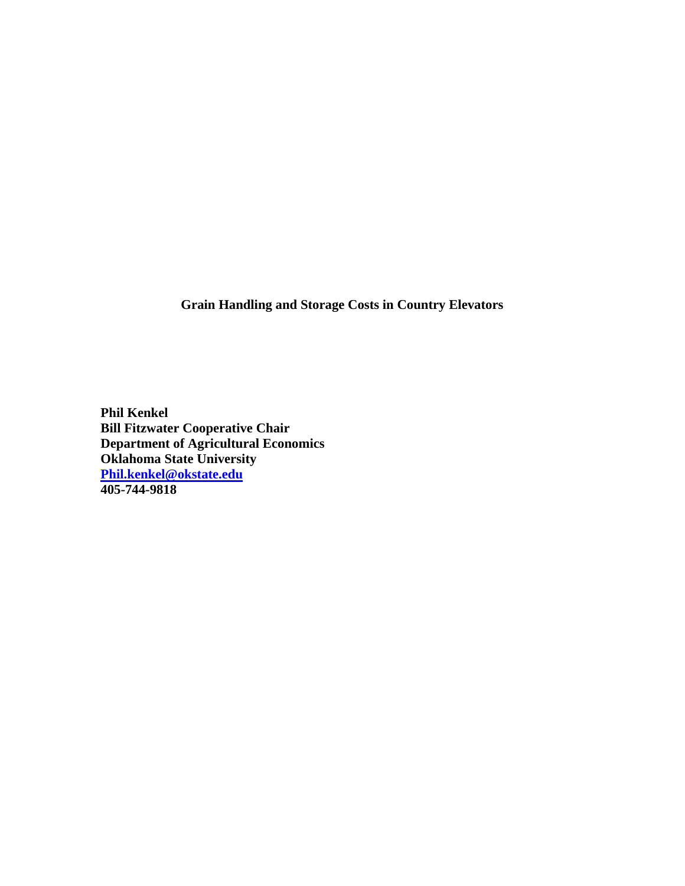**Grain Handling and Storage Costs in Country Elevators** 

**Phil Kenkel Bill Fitzwater Cooperative Chair Department of Agricultural Economics Oklahoma State University Phil.kenkel@okstate.edu 405-744-9818**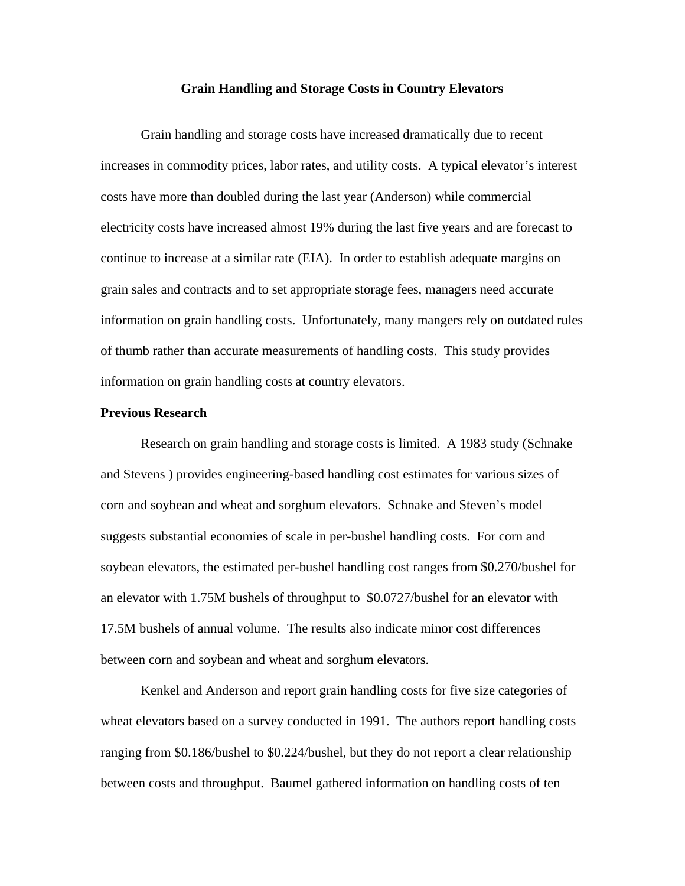### **Grain Handling and Storage Costs in Country Elevators**

 Grain handling and storage costs have increased dramatically due to recent increases in commodity prices, labor rates, and utility costs. A typical elevator's interest costs have more than doubled during the last year (Anderson) while commercial electricity costs have increased almost 19% during the last five years and are forecast to continue to increase at a similar rate (EIA). In order to establish adequate margins on grain sales and contracts and to set appropriate storage fees, managers need accurate information on grain handling costs. Unfortunately, many mangers rely on outdated rules of thumb rather than accurate measurements of handling costs. This study provides information on grain handling costs at country elevators.

# **Previous Research**

 Research on grain handling and storage costs is limited. A 1983 study (Schnake and Stevens ) provides engineering-based handling cost estimates for various sizes of corn and soybean and wheat and sorghum elevators. Schnake and Steven's model suggests substantial economies of scale in per-bushel handling costs. For corn and soybean elevators, the estimated per-bushel handling cost ranges from \$0.270/bushel for an elevator with 1.75M bushels of throughput to \$0.0727/bushel for an elevator with 17.5M bushels of annual volume. The results also indicate minor cost differences between corn and soybean and wheat and sorghum elevators.

Kenkel and Anderson and report grain handling costs for five size categories of wheat elevators based on a survey conducted in 1991. The authors report handling costs ranging from \$0.186/bushel to \$0.224/bushel, but they do not report a clear relationship between costs and throughput. Baumel gathered information on handling costs of ten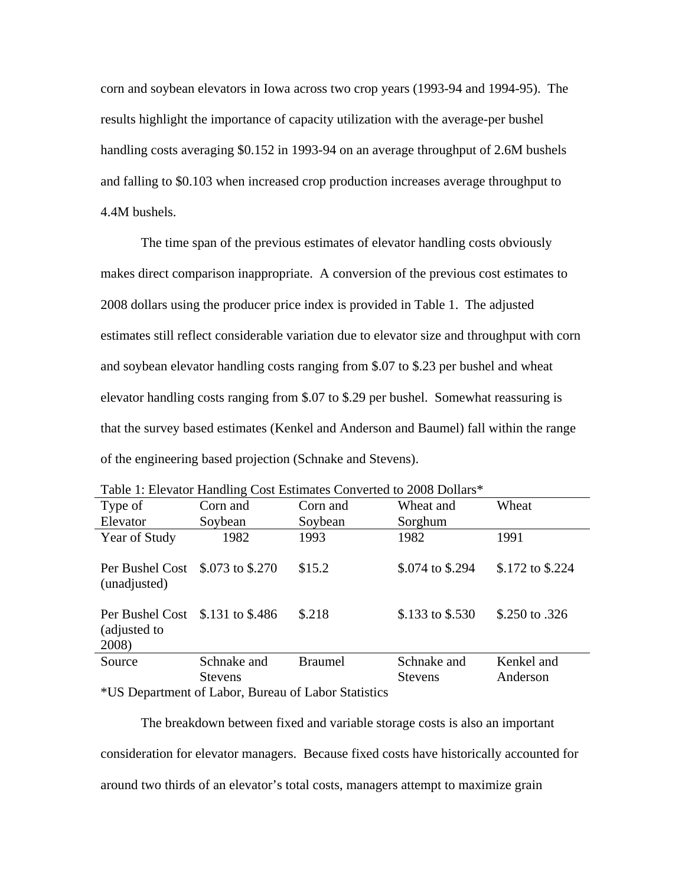corn and soybean elevators in Iowa across two crop years (1993-94 and 1994-95). The results highlight the importance of capacity utilization with the average-per bushel handling costs averaging \$0.152 in 1993-94 on an average throughput of 2.6M bushels and falling to \$0.103 when increased crop production increases average throughput to 4.4M bushels.

The time span of the previous estimates of elevator handling costs obviously makes direct comparison inappropriate. A conversion of the previous cost estimates to 2008 dollars using the producer price index is provided in Table 1. The adjusted estimates still reflect considerable variation due to elevator size and throughput with corn and soybean elevator handling costs ranging from \$.07 to \$.23 per bushel and wheat elevator handling costs ranging from \$.07 to \$.29 per bushel. Somewhat reassuring is that the survey based estimates (Kenkel and Anderson and Baumel) fall within the range of the engineering based projection (Schnake and Stevens).

| Table 1. Elevator Handling Cost Estimates Converted to 2008 Donars |                |                |                  |                  |
|--------------------------------------------------------------------|----------------|----------------|------------------|------------------|
| Type of                                                            | Corn and       | Corn and       | Wheat and        | Wheat            |
| Elevator                                                           | Soybean        | Soybean        | Sorghum          |                  |
| Year of Study                                                      | 1982           | 1993           | 1982             | 1991             |
| Per Bushel Cost \$.073 to \$.270<br>(unadjusted)                   |                | \$15.2         | \$.074 to \$.294 | \$.172 to \$.224 |
| Per Bushel Cost \$.131 to \$.486<br>(adjusted to<br>2008)          |                | \$.218         | \$.133 to \$.530 | \$.250 to .326   |
| Source                                                             | Schnake and    | <b>Braumel</b> | Schnake and      | Kenkel and       |
|                                                                    | <b>Stevens</b> |                | <b>Stevens</b>   | Anderson         |

Table 1: Elevator Handling Cost Estimates Converted to 2008 Dollars\*

\*US Department of Labor, Bureau of Labor Statistics

The breakdown between fixed and variable storage costs is also an important consideration for elevator managers. Because fixed costs have historically accounted for around two thirds of an elevator's total costs, managers attempt to maximize grain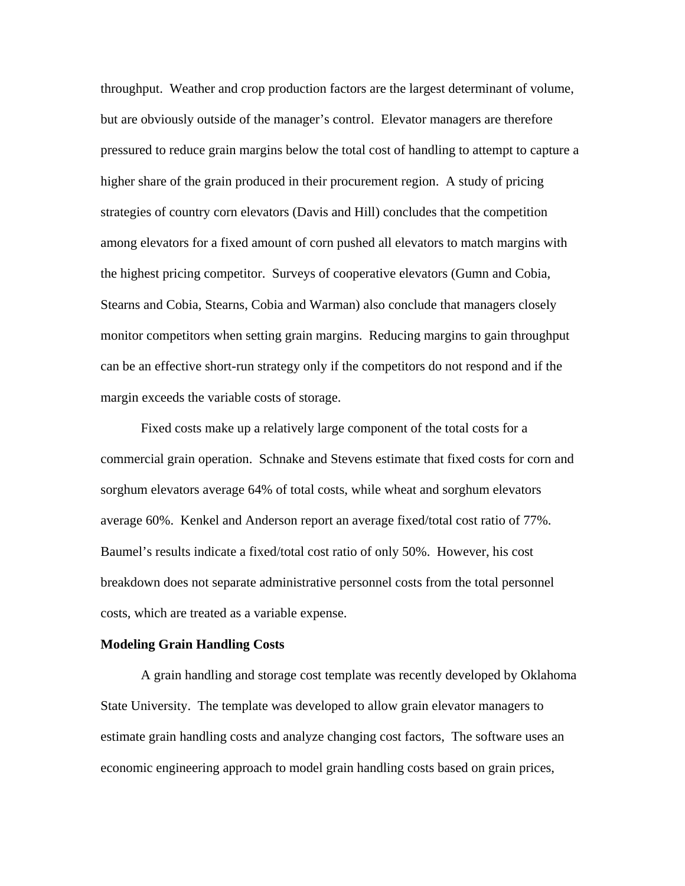throughput. Weather and crop production factors are the largest determinant of volume, but are obviously outside of the manager's control. Elevator managers are therefore pressured to reduce grain margins below the total cost of handling to attempt to capture a higher share of the grain produced in their procurement region. A study of pricing strategies of country corn elevators (Davis and Hill) concludes that the competition among elevators for a fixed amount of corn pushed all elevators to match margins with the highest pricing competitor. Surveys of cooperative elevators (Gumn and Cobia, Stearns and Cobia, Stearns, Cobia and Warman) also conclude that managers closely monitor competitors when setting grain margins. Reducing margins to gain throughput can be an effective short-run strategy only if the competitors do not respond and if the margin exceeds the variable costs of storage.

Fixed costs make up a relatively large component of the total costs for a commercial grain operation. Schnake and Stevens estimate that fixed costs for corn and sorghum elevators average 64% of total costs, while wheat and sorghum elevators average 60%. Kenkel and Anderson report an average fixed/total cost ratio of 77%. Baumel's results indicate a fixed/total cost ratio of only 50%. However, his cost breakdown does not separate administrative personnel costs from the total personnel costs, which are treated as a variable expense.

#### **Modeling Grain Handling Costs**

 A grain handling and storage cost template was recently developed by Oklahoma State University. The template was developed to allow grain elevator managers to estimate grain handling costs and analyze changing cost factors, The software uses an economic engineering approach to model grain handling costs based on grain prices,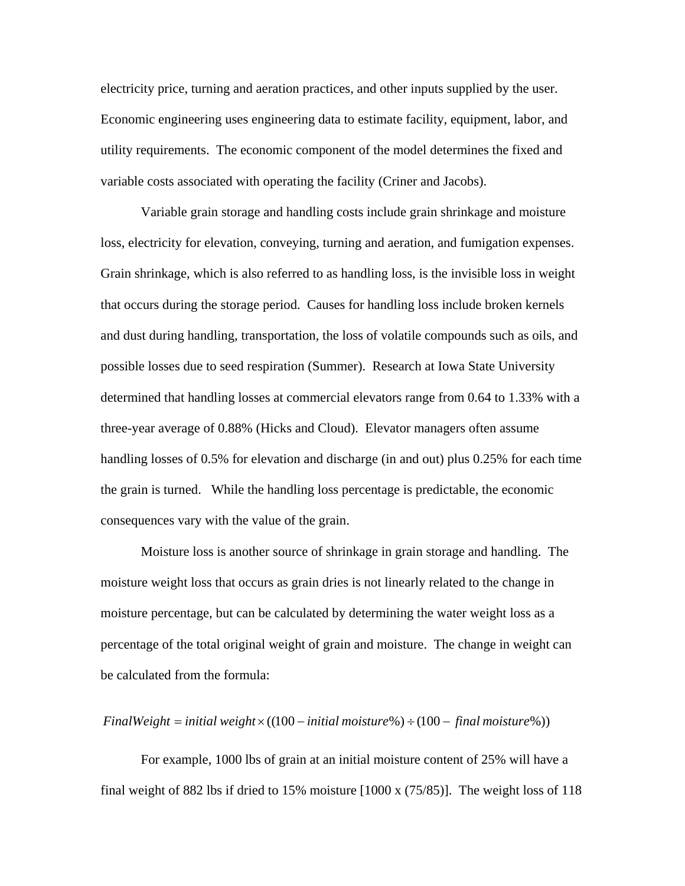electricity price, turning and aeration practices, and other inputs supplied by the user. Economic engineering uses engineering data to estimate facility, equipment, labor, and utility requirements. The economic component of the model determines the fixed and variable costs associated with operating the facility (Criner and Jacobs).

 Variable grain storage and handling costs include grain shrinkage and moisture loss, electricity for elevation, conveying, turning and aeration, and fumigation expenses. Grain shrinkage, which is also referred to as handling loss, is the invisible loss in weight that occurs during the storage period. Causes for handling loss include broken kernels and dust during handling, transportation, the loss of volatile compounds such as oils, and possible losses due to seed respiration (Summer). Research at Iowa State University determined that handling losses at commercial elevators range from 0.64 to 1.33% with a three-year average of 0.88% (Hicks and Cloud). Elevator managers often assume handling losses of 0.5% for elevation and discharge (in and out) plus 0.25% for each time the grain is turned. While the handling loss percentage is predictable, the economic consequences vary with the value of the grain.

 Moisture loss is another source of shrinkage in grain storage and handling. The moisture weight loss that occurs as grain dries is not linearly related to the change in moisture percentage, but can be calculated by determining the water weight loss as a percentage of the total original weight of grain and moisture. The change in weight can be calculated from the formula:

## *FinalWeight* = *initial weight*× ((100 − *initial moisture*%) ÷ (100 − *final moisture*%))

For example, 1000 lbs of grain at an initial moisture content of 25% will have a final weight of 882 lbs if dried to 15% moisture [1000 x (75/85)]. The weight loss of 118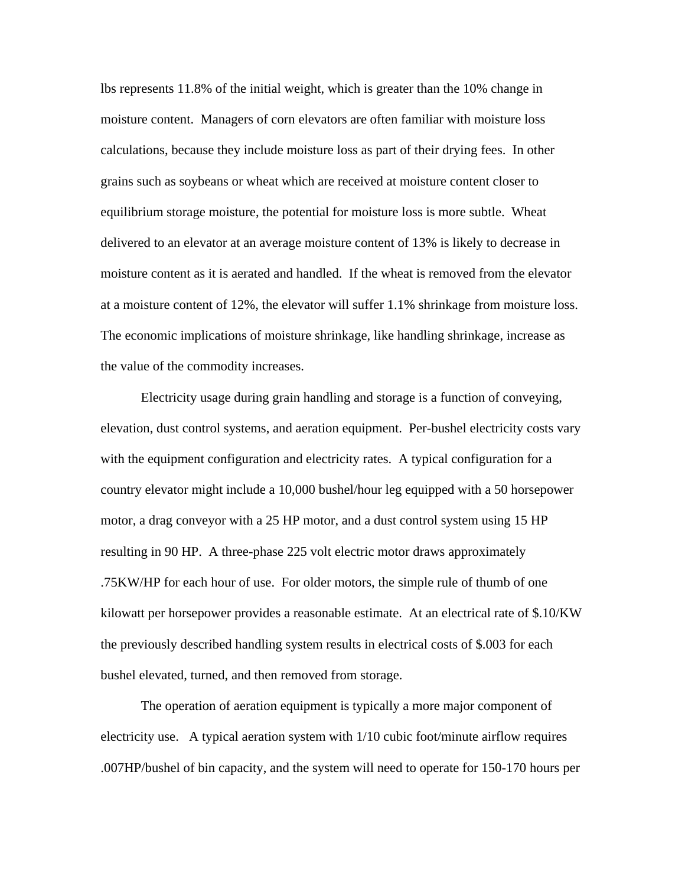lbs represents 11.8% of the initial weight, which is greater than the 10% change in moisture content. Managers of corn elevators are often familiar with moisture loss calculations, because they include moisture loss as part of their drying fees. In other grains such as soybeans or wheat which are received at moisture content closer to equilibrium storage moisture, the potential for moisture loss is more subtle. Wheat delivered to an elevator at an average moisture content of 13% is likely to decrease in moisture content as it is aerated and handled. If the wheat is removed from the elevator at a moisture content of 12%, the elevator will suffer 1.1% shrinkage from moisture loss. The economic implications of moisture shrinkage, like handling shrinkage, increase as the value of the commodity increases.

 Electricity usage during grain handling and storage is a function of conveying, elevation, dust control systems, and aeration equipment. Per-bushel electricity costs vary with the equipment configuration and electricity rates. A typical configuration for a country elevator might include a 10,000 bushel/hour leg equipped with a 50 horsepower motor, a drag conveyor with a 25 HP motor, and a dust control system using 15 HP resulting in 90 HP. A three-phase 225 volt electric motor draws approximately .75KW/HP for each hour of use. For older motors, the simple rule of thumb of one kilowatt per horsepower provides a reasonable estimate. At an electrical rate of \$.10/KW the previously described handling system results in electrical costs of \$.003 for each bushel elevated, turned, and then removed from storage.

 The operation of aeration equipment is typically a more major component of electricity use. A typical aeration system with 1/10 cubic foot/minute airflow requires .007HP/bushel of bin capacity, and the system will need to operate for 150-170 hours per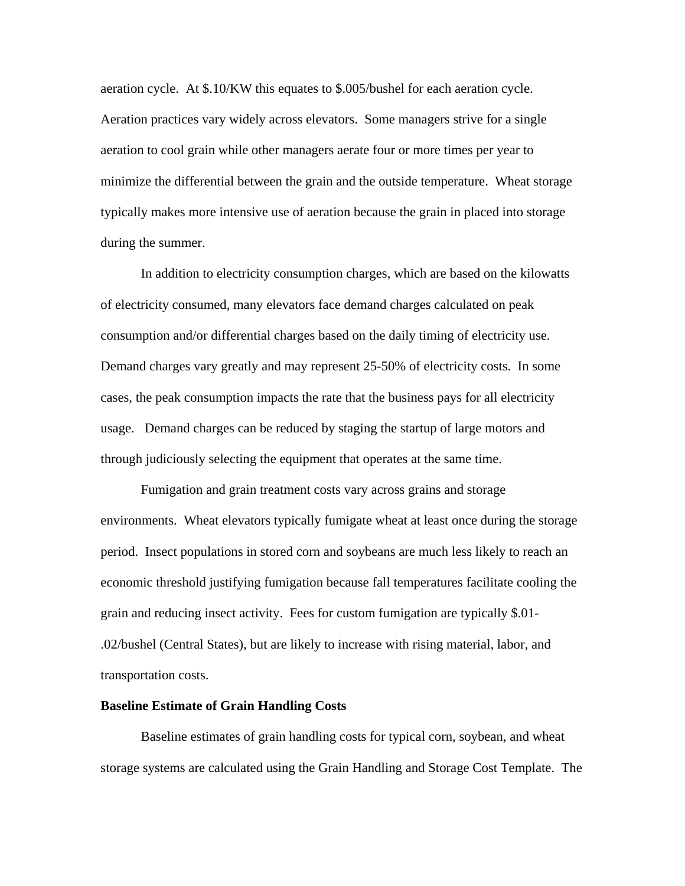aeration cycle. At \$.10/KW this equates to \$.005/bushel for each aeration cycle. Aeration practices vary widely across elevators. Some managers strive for a single aeration to cool grain while other managers aerate four or more times per year to minimize the differential between the grain and the outside temperature. Wheat storage typically makes more intensive use of aeration because the grain in placed into storage during the summer.

 In addition to electricity consumption charges, which are based on the kilowatts of electricity consumed, many elevators face demand charges calculated on peak consumption and/or differential charges based on the daily timing of electricity use. Demand charges vary greatly and may represent 25-50% of electricity costs. In some cases, the peak consumption impacts the rate that the business pays for all electricity usage. Demand charges can be reduced by staging the startup of large motors and through judiciously selecting the equipment that operates at the same time.

 Fumigation and grain treatment costs vary across grains and storage environments. Wheat elevators typically fumigate wheat at least once during the storage period. Insect populations in stored corn and soybeans are much less likely to reach an economic threshold justifying fumigation because fall temperatures facilitate cooling the grain and reducing insect activity. Fees for custom fumigation are typically \$.01- .02/bushel (Central States), but are likely to increase with rising material, labor, and transportation costs.

#### **Baseline Estimate of Grain Handling Costs**

Baseline estimates of grain handling costs for typical corn, soybean, and wheat storage systems are calculated using the Grain Handling and Storage Cost Template. The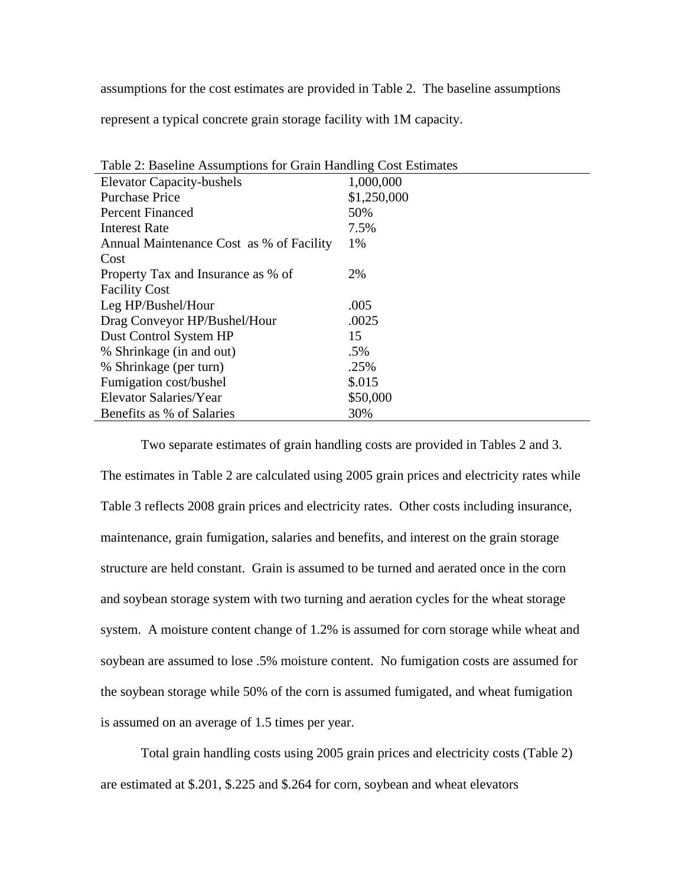assumptions for the cost estimates are provided in Table 2. The baseline assumptions

represent a typical concrete grain storage facility with 1M capacity.

| Table 2: Baseline Assumptions for Grain Handling Cost Estimates |             |  |
|-----------------------------------------------------------------|-------------|--|
| <b>Elevator Capacity-bushels</b>                                | 1,000,000   |  |
| <b>Purchase Price</b>                                           | \$1,250,000 |  |
| <b>Percent Financed</b>                                         | 50%         |  |
| Interest Rate                                                   | 7.5%        |  |
| Annual Maintenance Cost as % of Facility                        | 1%          |  |
| Cost                                                            |             |  |
| Property Tax and Insurance as % of                              | 2%          |  |
| <b>Facility Cost</b>                                            |             |  |
| Leg HP/Bushel/Hour                                              | .005        |  |
| Drag Conveyor HP/Bushel/Hour                                    | .0025       |  |
| Dust Control System HP                                          | 15          |  |
| % Shrinkage (in and out)                                        | .5%         |  |
| % Shrinkage (per turn)                                          | .25%        |  |
| Fumigation cost/bushel                                          | \$.015      |  |
| Elevator Salaries/Year                                          | \$50,000    |  |
| Benefits as % of Salaries                                       | 30%         |  |
|                                                                 |             |  |

Two separate estimates of grain handling costs are provided in Tables 2 and 3. The estimates in Table 2 are calculated using 2005 grain prices and electricity rates while Table 3 reflects 2008 grain prices and electricity rates. Other costs including insurance, maintenance, grain fumigation, salaries and benefits, and interest on the grain storage structure are held constant. Grain is assumed to be turned and aerated once in the corn and soybean storage system with two turning and aeration cycles for the wheat storage system. A moisture content change of 1.2% is assumed for corn storage while wheat and soybean are assumed to lose .5% moisture content. No fumigation costs are assumed for the soybean storage while 50% of the corn is assumed fumigated, and wheat fumigation is assumed on an average of 1.5 times per year.

Total grain handling costs using 2005 grain prices and electricity costs (Table 2) are estimated at \$.201, \$.225 and \$.264 for corn, soybean and wheat elevators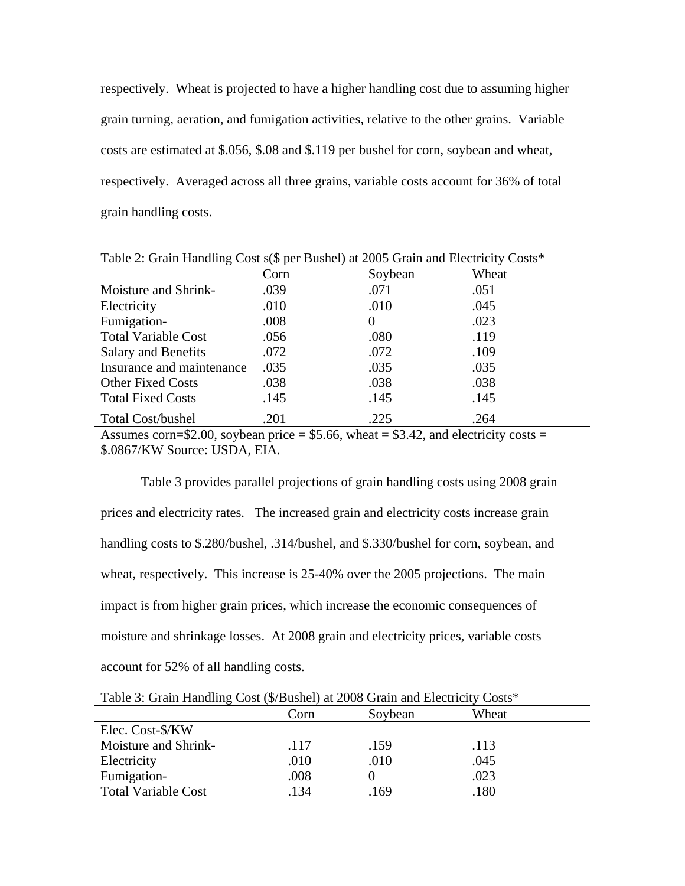respectively. Wheat is projected to have a higher handling cost due to assuming higher grain turning, aeration, and fumigation activities, relative to the other grains. Variable costs are estimated at \$.056, \$.08 and \$.119 per bushel for corn, soybean and wheat, respectively. Averaged across all three grains, variable costs account for 36% of total grain handling costs.

|                                                                                      | Corn | Soybean  | Wheat |  |
|--------------------------------------------------------------------------------------|------|----------|-------|--|
| Moisture and Shrink-                                                                 | .039 | .071     | .051  |  |
| Electricity                                                                          | .010 | .010     | .045  |  |
| Fumigation-                                                                          | .008 | $\theta$ | .023  |  |
| <b>Total Variable Cost</b>                                                           | .056 | .080     | .119  |  |
| <b>Salary and Benefits</b>                                                           | .072 | .072     | .109  |  |
| Insurance and maintenance                                                            | .035 | .035     | .035  |  |
| <b>Other Fixed Costs</b>                                                             | .038 | .038     | .038  |  |
| <b>Total Fixed Costs</b>                                                             | .145 | .145     | .145  |  |
| <b>Total Cost/bushel</b>                                                             | .201 | .225     | .264  |  |
| Assumes corn=\$2.00, soybean price = \$5.66, wheat = \$3.42, and electricity costs = |      |          |       |  |
| \$.0867/KW Source: USDA, EIA.                                                        |      |          |       |  |

Table 2: Grain Handling Cost s(\$ per Bushel) at 2005 Grain and Electricity Costs\*

Table 3 provides parallel projections of grain handling costs using 2008 grain prices and electricity rates. The increased grain and electricity costs increase grain handling costs to \$.280/bushel, .314/bushel, and \$.330/bushel for corn, soybean, and wheat, respectively. This increase is 25-40% over the 2005 projections. The main impact is from higher grain prices, which increase the economic consequences of moisture and shrinkage losses. At 2008 grain and electricity prices, variable costs account for 52% of all handling costs.

| Table 5: Grain Handling Cost ( $\sqrt{5}$ /Bushel) at 2008 Grain and Electricity Costs <sup>*</sup> |      |         |       |  |
|-----------------------------------------------------------------------------------------------------|------|---------|-------|--|
|                                                                                                     | Corn | Soybean | Wheat |  |
| Elec. Cost-\$/KW                                                                                    |      |         |       |  |
| Moisture and Shrink-                                                                                | .117 | .159    | .113  |  |
| Electricity                                                                                         | .010 | .010    | .045  |  |
| Fumigation-                                                                                         | .008 |         | .023  |  |
| <b>Total Variable Cost</b>                                                                          | .134 | .169    | .180  |  |

Table 3: Grain Handling Cost (\$/Bushel) at 2008 Grain and Electricity Costs\*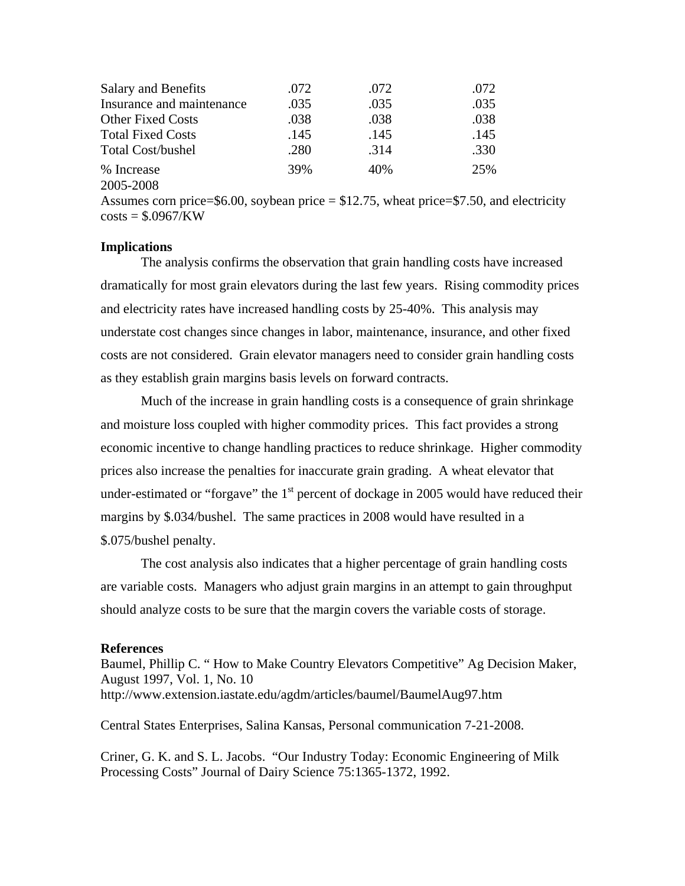| <b>Salary and Benefits</b> | .072 | .072 | .072 |
|----------------------------|------|------|------|
| Insurance and maintenance  | .035 | .035 | .035 |
| <b>Other Fixed Costs</b>   | .038 | .038 | .038 |
| <b>Total Fixed Costs</b>   | .145 | .145 | .145 |
| <b>Total Cost/bushel</b>   | .280 | .314 | .330 |
| % Increase                 | 39%  | 40%  | 25%  |
| 2005-2008                  |      |      |      |

Assumes corn price= $$6.00$ , soybean price =  $$12.75$ , wheat price= $$7.50$ , and electricity  $costs = $.0967/KW$ 

### **Implications**

 The analysis confirms the observation that grain handling costs have increased dramatically for most grain elevators during the last few years. Rising commodity prices and electricity rates have increased handling costs by 25-40%. This analysis may understate cost changes since changes in labor, maintenance, insurance, and other fixed costs are not considered. Grain elevator managers need to consider grain handling costs as they establish grain margins basis levels on forward contracts.

Much of the increase in grain handling costs is a consequence of grain shrinkage and moisture loss coupled with higher commodity prices. This fact provides a strong economic incentive to change handling practices to reduce shrinkage. Higher commodity prices also increase the penalties for inaccurate grain grading. A wheat elevator that under-estimated or "forgave" the  $1<sup>st</sup>$  percent of dockage in 2005 would have reduced their margins by \$.034/bushel. The same practices in 2008 would have resulted in a \$.075/bushel penalty.

 The cost analysis also indicates that a higher percentage of grain handling costs are variable costs. Managers who adjust grain margins in an attempt to gain throughput should analyze costs to be sure that the margin covers the variable costs of storage.

### **References**

Baumel, Phillip C. " How to Make Country Elevators Competitive" Ag Decision Maker, August 1997, Vol. 1, No. 10 http://www.extension.iastate.edu/agdm/articles/baumel/BaumelAug97.htm

Central States Enterprises, Salina Kansas, Personal communication 7-21-2008.

Criner, G. K. and S. L. Jacobs. "Our Industry Today: Economic Engineering of Milk Processing Costs" Journal of Dairy Science 75:1365-1372, 1992.